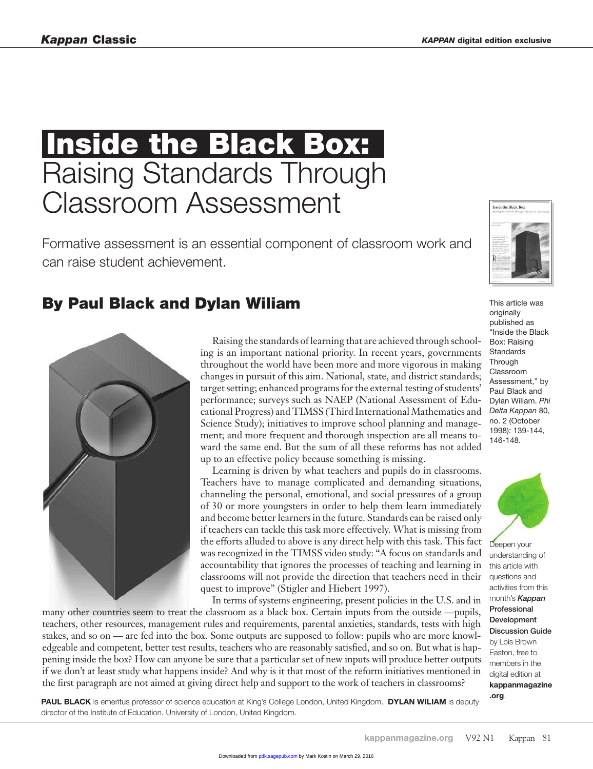# **Inside the Black Box:** Raising Standards Through Classroom Assessment

Formative assessment is an essential component of classroom work and can raise student achievement.

# **By Paul Black and Dylan Wiliam**



Raising the standards of learning that are achieved through schooling is an important national priority. In recent years, governments throughout the world have been more and more vigorous in making changes in pursuit of this aim. National, state, and district standards; target setting; enhanced programs for the external testing of students' performance; surveys such as NAEP (National Assessment of Educational Progress) and TIMSS (Third International Mathematics and Science Study); initiatives to improve school planning and management; and more frequent and thorough inspection are all means toward the same end. But the sum of all these reforms has not added up to an effective policy because something is missing.

Learning is driven by what teachers and pupils do in classrooms. Teachers have to manage complicated and demanding situations, channeling the personal, emotional, and social pressures of a group of 30 or more youngsters in order to help them learn immediately and become better learners in the future. Standards can be raised only if teachers can tackle this task more effectively. What is missing from the efforts alluded to above is any direct help with this task. This fact was recognized in the TIMSS video study: "A focus on standards and accountability that ignores the processes of teaching and learning in classrooms will not provide the direction that teachers need in their quest to improve" (Stigler and Hiebert 1997).

In terms of systems engineering, present policies in the U.S. and in many other countries seem to treat the classroom as a black box. Certain inputs from the outside —pupils, teachers, other resources, management rules and requirements, parental anxieties, standards, tests with high stakes, and so on — are fed into the box. Some outputs are supposed to follow: pupils who are more knowledgeable and competent, better test results, teachers who are reasonably satisfied, and so on. But what is happening inside the box? How can anyone be sure that a particular set of new inputs will produce better outputs if we don't at least study what happens inside? And why is it that most of the reform initiatives mentioned in the first paragraph are not aimed at giving direct help and support to the work of teachers in classrooms?



This article was originally published as "Inside the Black Box: Raising **Standards Through** Classroom Assessment," by Paul Black and Dylan Wiliam. *Phi Delta Kappan* 80, no. 2 (October 1998): 139-144, 146-148.



Deepen your understanding of this article with questions and activities from this month's *Kappan* **Professional Development Discussion Guide** by Lois Brown Easton, free to members in the digital edition at **kappanmagazine .org**.

**PAUL BLACK** is emeritus professor of science education at King's College London, United Kingdom. **DYLAN WILIAM** is deputy director of the Institute of Education, University of London, United Kingdom.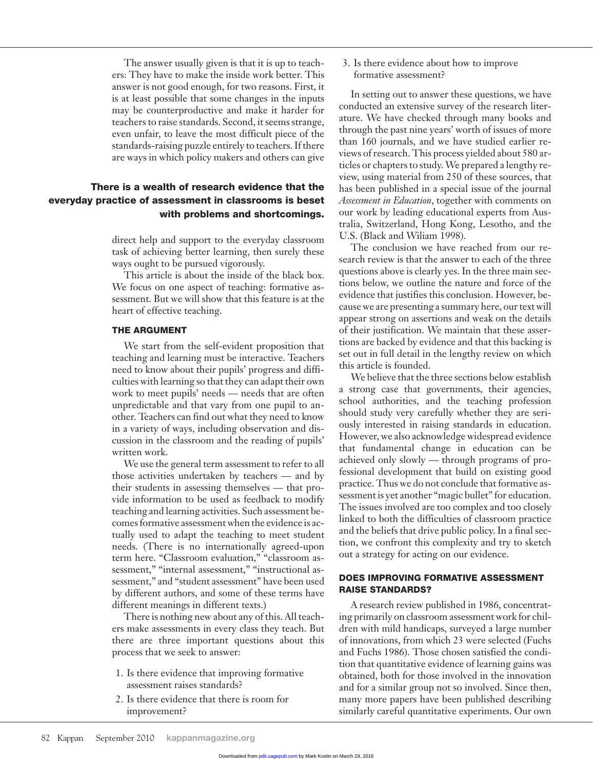The answer usually given is that it is up to teachers: They have to make the inside work better. This answer is not good enough, for two reasons. First, it is at least possible that some changes in the inputs may be counterproductive and make it harder for teachers to raise standards. Second, it seems strange, even unfair, to leave the most difficult piece of the standards-raising puzzle entirely to teachers. If there are ways in which policy makers and others can give

# **There is a wealth of research evidence that the everyday practice of assessment in classrooms is beset with problems and shortcomings.**

direct help and support to the everyday classroom task of achieving better learning, then surely these ways ought to be pursued vigorously.

This article is about the inside of the black box. We focus on one aspect of teaching: formative assessment. But we will show that this feature is at the heart of effective teaching.

#### **THE ARGUMENT**

We start from the self-evident proposition that teaching and learning must be interactive. Teachers need to know about their pupils' progress and difficulties with learning so that they can adapt their own work to meet pupils' needs — needs that are often unpredictable and that vary from one pupil to another. Teachers can find out what they need to know in a variety of ways, including observation and discussion in the classroom and the reading of pupils' written work.

We use the general term assessment to refer to all those activities undertaken by teachers — and by their students in assessing themselves — that provide information to be used as feedback to modify teaching and learning activities. Such assessment becomes formative assessment when the evidence is actually used to adapt the teaching to meet student needs. (There is no internationally agreed-upon term here. "Classroom evaluation," "classroom assessment," "internal assessment," "instructional assessment," and "student assessment" have been used by different authors, and some of these terms have different meanings in different texts.)

There is nothing new about any of this. All teachers make assessments in every class they teach. But there are three important questions about this process that we seek to answer:

- 1. Is there evidence that improving formative assessment raises standards?
- 2. Is there evidence that there is room for improvement?

3. Is there evidence about how to improve formative assessment?

In setting out to answer these questions, we have conducted an extensive survey of the research literature. We have checked through many books and through the past nine years' worth of issues of more than 160 journals, and we have studied earlier reviews of research. This process yielded about 580 articles or chapters to study. We prepared a lengthy review, using material from 250 of these sources, that has been published in a special issue of the journal *Assessment in Education*, together with comments on our work by leading educational experts from Australia, Switzerland, Hong Kong, Lesotho, and the U.S. (Black and Wiliam 1998).

The conclusion we have reached from our research review is that the answer to each of the three questions above is clearly yes. In the three main sections below, we outline the nature and force of the evidence that justifies this conclusion. However, because we are presenting a summary here, our text will appear strong on assertions and weak on the details of their justification. We maintain that these assertions are backed by evidence and that this backing is set out in full detail in the lengthy review on which this article is founded.

We believe that the three sections below establish a strong case that governments, their agencies, school authorities, and the teaching profession should study very carefully whether they are seriously interested in raising standards in education. However, we also acknowledge widespread evidence that fundamental change in education can be achieved only slowly — through programs of professional development that build on existing good practice. Thus we do not conclude that formative assessment is yet another "magic bullet" for education. The issues involved are too complex and too closely linked to both the difficulties of classroom practice and the beliefs that drive public policy. In a final section, we confront this complexity and try to sketch out a strategy for acting on our evidence.

## **DOES IMPROVING FORMATIVE ASSESSMENT RAISE STANDARDS?**

A research review published in 1986, concentrating primarily on classroom assessment work for children with mild handicaps, surveyed a large number of innovations, from which 23 were selected (Fuchs and Fuchs 1986). Those chosen satisfied the condition that quantitative evidence of learning gains was obtained, both for those involved in the innovation and for a similar group not so involved. Since then, many more papers have been published describing similarly careful quantitative experiments. Our own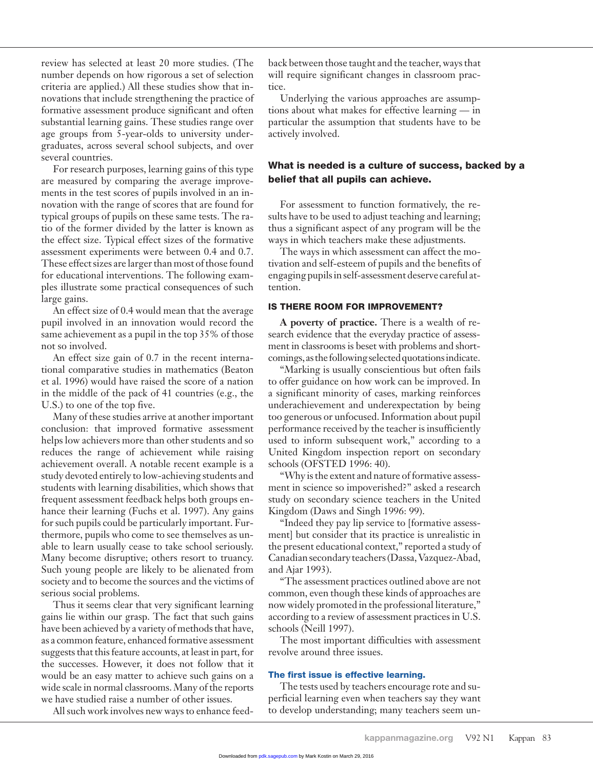review has selected at least 20 more studies. (The number depends on how rigorous a set of selection criteria are applied.) All these studies show that innovations that include strengthening the practice of formative assessment produce significant and often substantial learning gains. These studies range over age groups from 5-year-olds to university undergraduates, across several school subjects, and over several countries.

For research purposes, learning gains of this type are measured by comparing the average improvements in the test scores of pupils involved in an innovation with the range of scores that are found for typical groups of pupils on these same tests. The ratio of the former divided by the latter is known as the effect size. Typical effect sizes of the formative assessment experiments were between 0.4 and 0.7. These effect sizes are larger than most of those found for educational interventions. The following examples illustrate some practical consequences of such large gains.

An effect size of 0.4 would mean that the average pupil involved in an innovation would record the same achievement as a pupil in the top 35% of those not so involved.

An effect size gain of 0.7 in the recent international comparative studies in mathematics (Beaton et al. 1996) would have raised the score of a nation in the middle of the pack of 41 countries (e.g., the U.S.) to one of the top five.

Many of these studies arrive at another important conclusion: that improved formative assessment helps low achievers more than other students and so reduces the range of achievement while raising achievement overall. A notable recent example is a study devoted entirely to low-achieving students and students with learning disabilities, which shows that frequent assessment feedback helps both groups enhance their learning (Fuchs et al. 1997). Any gains for such pupils could be particularly important. Furthermore, pupils who come to see themselves as unable to learn usually cease to take school seriously. Many become disruptive; others resort to truancy. Such young people are likely to be alienated from society and to become the sources and the victims of serious social problems.

Thus it seems clear that very significant learning gains lie within our grasp. The fact that such gains have been achieved by a variety of methods that have, as a common feature, enhanced formative assessment suggests that this feature accounts, at least in part, for the successes. However, it does not follow that it would be an easy matter to achieve such gains on a wide scale in normal classrooms. Many of the reports we have studied raise a number of other issues.

All such work involves new ways to enhance feed-

back between those taught and the teacher, ways that will require significant changes in classroom practice.

Underlying the various approaches are assumptions about what makes for effective learning — in particular the assumption that students have to be actively involved.

# **What is needed is a culture of success, backed by a belief that all pupils can achieve.**

For assessment to function formatively, the results have to be used to adjust teaching and learning; thus a significant aspect of any program will be the ways in which teachers make these adjustments.

The ways in which assessment can affect the motivation and self-esteem of pupils and the benefits of engaging pupils in self-assessment deserve careful attention.

#### **IS THERE ROOM FOR IMPROVEMENT?**

**A poverty of practice.** There is a wealth of research evidence that the everyday practice of assessment in classrooms is beset with problems and shortcomings, as the following selected quotations indicate.

"Marking is usually conscientious but often fails to offer guidance on how work can be improved. In a significant minority of cases, marking reinforces underachievement and underexpectation by being too generous or unfocused. Information about pupil performance received by the teacher is insufficiently used to inform subsequent work," according to a United Kingdom inspection report on secondary schools (OFSTED 1996: 40).

"Why is the extent and nature of formative assessment in science so impoverished?" asked a research study on secondary science teachers in the United Kingdom (Daws and Singh 1996: 99).

"Indeed they pay lip service to [formative assessment] but consider that its practice is unrealistic in the present educational context," reported a study of Canadian secondary teachers (Dassa, Vazquez-Abad, and Ajar 1993).

"The assessment practices outlined above are not common, even though these kinds of approaches are now widely promoted in the professional literature," according to a review of assessment practices in U.S. schools (Neill 1997).

The most important difficulties with assessment revolve around three issues.

## **The first issue is effective learning.**

The tests used by teachers encourage rote and superficial learning even when teachers say they want to develop understanding; many teachers seem un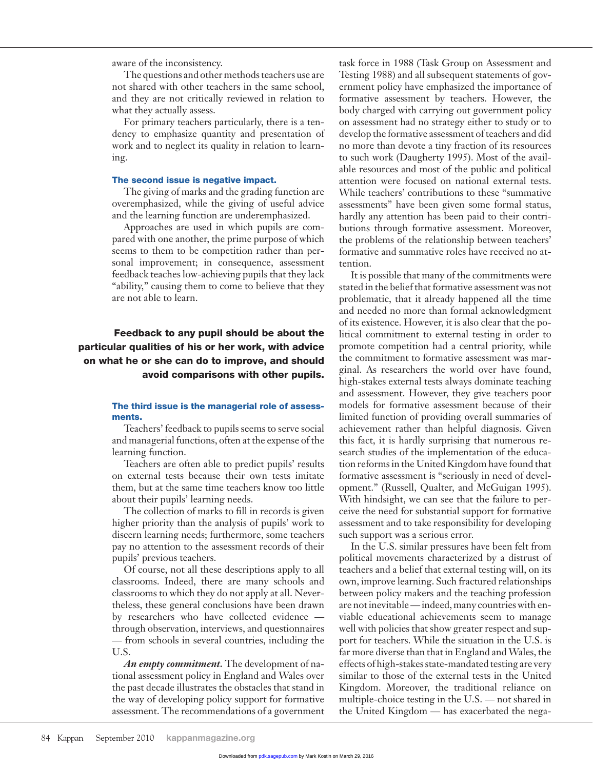aware of the inconsistency.

The questions and other methods teachers use are not shared with other teachers in the same school, and they are not critically reviewed in relation to what they actually assess.

For primary teachers particularly, there is a tendency to emphasize quantity and presentation of work and to neglect its quality in relation to learning.

#### **The second issue is negative impact.**

The giving of marks and the grading function are overemphasized, while the giving of useful advice and the learning function are underemphasized.

Approaches are used in which pupils are compared with one another, the prime purpose of which seems to them to be competition rather than personal improvement; in consequence, assessment feedback teaches low-achieving pupils that they lack "ability," causing them to come to believe that they are not able to learn.

# **Feedback to any pupil should be about the particular qualities of his or her work, with advice on what he or she can do to improve, and should avoid comparisons with other pupils.**

#### **The third issue is the managerial role of assessments.**

Teachers' feedback to pupils seems to serve social and managerial functions, often at the expense of the learning function.

Teachers are often able to predict pupils' results on external tests because their own tests imitate them, but at the same time teachers know too little about their pupils' learning needs.

The collection of marks to fill in records is given higher priority than the analysis of pupils' work to discern learning needs; furthermore, some teachers pay no attention to the assessment records of their pupils' previous teachers.

Of course, not all these descriptions apply to all classrooms. Indeed, there are many schools and classrooms to which they do not apply at all. Nevertheless, these general conclusions have been drawn by researchers who have collected evidence through observation, interviews, and questionnaires — from schools in several countries, including the

U.S.

*An empty commitment.* The development of national assessment policy in England and Wales over the past decade illustrates the obstacles that stand in the way of developing policy support for formative assessment. The recommendations of a government

task force in 1988 (Task Group on Assessment and Testing 1988) and all subsequent statements of government policy have emphasized the importance of formative assessment by teachers. However, the body charged with carrying out government policy on assessment had no strategy either to study or to develop the formative assessment of teachers and did no more than devote a tiny fraction of its resources to such work (Daugherty 1995). Most of the available resources and most of the public and political attention were focused on national external tests. While teachers' contributions to these "summative assessments" have been given some formal status, hardly any attention has been paid to their contributions through formative assessment. Moreover, the problems of the relationship between teachers' formative and summative roles have received no attention.

It is possible that many of the commitments were stated in the belief that formative assessment was not problematic, that it already happened all the time and needed no more than formal acknowledgment of its existence. However, it is also clear that the political commitment to external testing in order to promote competition had a central priority, while the commitment to formative assessment was marginal. As researchers the world over have found, high-stakes external tests always dominate teaching and assessment. However, they give teachers poor models for formative assessment because of their limited function of providing overall summaries of achievement rather than helpful diagnosis. Given this fact, it is hardly surprising that numerous research studies of the implementation of the education reforms in the United Kingdom have found that formative assessment is "seriously in need of development." (Russell, Qualter, and McGuigan 1995). With hindsight, we can see that the failure to perceive the need for substantial support for formative assessment and to take responsibility for developing such support was a serious error.

In the U.S. similar pressures have been felt from political movements characterized by a distrust of teachers and a belief that external testing will, on its own, improve learning. Such fractured relationships between policy makers and the teaching profession are not inevitable — indeed, many countries with enviable educational achievements seem to manage well with policies that show greater respect and support for teachers. While the situation in the U.S. is far more diverse than that in England and Wales, the effects of high-stakes state-mandated testing are very similar to those of the external tests in the United Kingdom. Moreover, the traditional reliance on multiple-choice testing in the U.S. — not shared in the United Kingdom — has exacerbated the nega-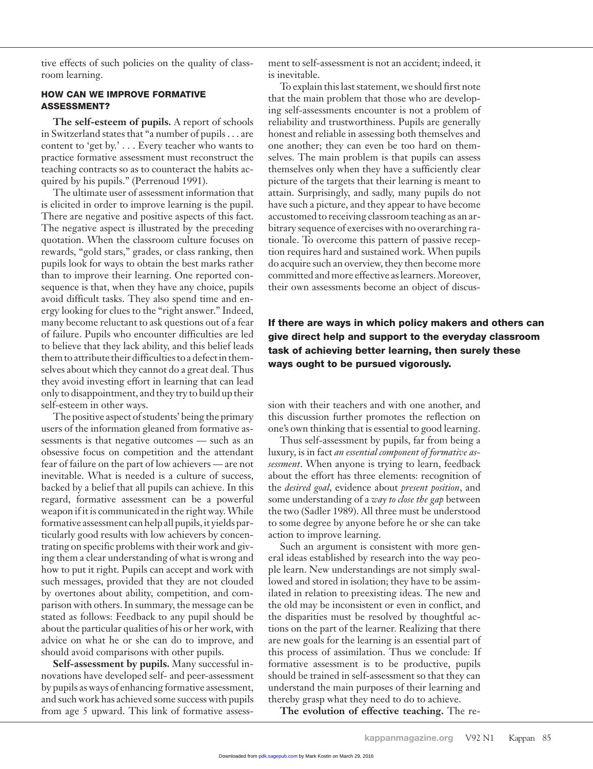tive effects of such policies on the quality of classroom learning.

# **HOW CAN WE IMPROVE FORMATIVE ASSESSMENT?**

**The self-esteem of pupils.** A report of schools in Switzerland states that "a number of pupils . . . are content to 'get by.' . . . Every teacher who wants to practice formative assessment must reconstruct the teaching contracts so as to counteract the habits acquired by his pupils." (Perrenoud 1991).

The ultimate user of assessment information that is elicited in order to improve learning is the pupil. There are negative and positive aspects of this fact. The negative aspect is illustrated by the preceding quotation. When the classroom culture focuses on rewards, "gold stars," grades, or class ranking, then pupils look for ways to obtain the best marks rather than to improve their learning. One reported consequence is that, when they have any choice, pupils avoid difficult tasks. They also spend time and energy looking for clues to the "right answer." Indeed, many become reluctant to ask questions out of a fear of failure. Pupils who encounter difficulties are led to believe that they lack ability, and this belief leads them to attribute their difficulties to a defect in themselves about which they cannot do a great deal. Thus they avoid investing effort in learning that can lead only to disappointment, and they try to build up their self-esteem in other ways.

The positive aspect of students' being the primary users of the information gleaned from formative assessments is that negative outcomes — such as an obsessive focus on competition and the attendant fear of failure on the part of low achievers — are not inevitable. What is needed is a culture of success, backed by a belief that all pupils can achieve. In this regard, formative assessment can be a powerful weapon if it is communicated in the right way. While formative assessment can help all pupils, it yields particularly good results with low achievers by concentrating on specific problems with their work and giving them a clear understanding of what is wrong and how to put it right. Pupils can accept and work with such messages, provided that they are not clouded by overtones about ability, competition, and comparison with others. In summary, the message can be stated as follows: Feedback to any pupil should be about the particular qualities of his or her work, with advice on what he or she can do to improve, and should avoid comparisons with other pupils.

**Self-assessment by pupils.** Many successful innovations have developed self- and peer-assessment by pupils as ways of enhancing formative assessment, and such work has achieved some success with pupils from age 5 upward. This link of formative assessment to self-assessment is not an accident; indeed, it is inevitable.

To explain this last statement, we should first note that the main problem that those who are developing self-assessments encounter is not a problem of reliability and trustworthiness. Pupils are generally honest and reliable in assessing both themselves and one another; they can even be too hard on themselves. The main problem is that pupils can assess themselves only when they have a sufficiently clear picture of the targets that their learning is meant to attain. Surprisingly, and sadly, many pupils do not have such a picture, and they appear to have become accustomed to receiving classroom teaching as an arbitrary sequence of exercises with no overarching rationale. To overcome this pattern of passive reception requires hard and sustained work. When pupils do acquire such an overview, they then become more committed and more effective as learners. Moreover, their own assessments become an object of discus-

# **If there are ways in which policy makers and others can give direct help and support to the everyday classroom task of achieving better learning, then surely these ways ought to be pursued vigorously.**

sion with their teachers and with one another, and this discussion further promotes the reflection on one's own thinking that is essential to good learning.

Thus self-assessment by pupils, far from being a luxury, is in fact *an essential component of formative assessment*. When anyone is trying to learn, feedback about the effort has three elements: recognition of the *desired goal*, evidence about *present position*, and some understanding of a *way to close the gap* between the two (Sadler 1989). All three must be understood to some degree by anyone before he or she can take action to improve learning.

Such an argument is consistent with more general ideas established by research into the way people learn. New understandings are not simply swallowed and stored in isolation; they have to be assimilated in relation to preexisting ideas. The new and the old may be inconsistent or even in conflict, and the disparities must be resolved by thoughtful actions on the part of the learner. Realizing that there are new goals for the learning is an essential part of this process of assimilation. Thus we conclude: If formative assessment is to be productive, pupils should be trained in self-assessment so that they can understand the main purposes of their learning and thereby grasp what they need to do to achieve.

**The evolution of effective teaching.** The re-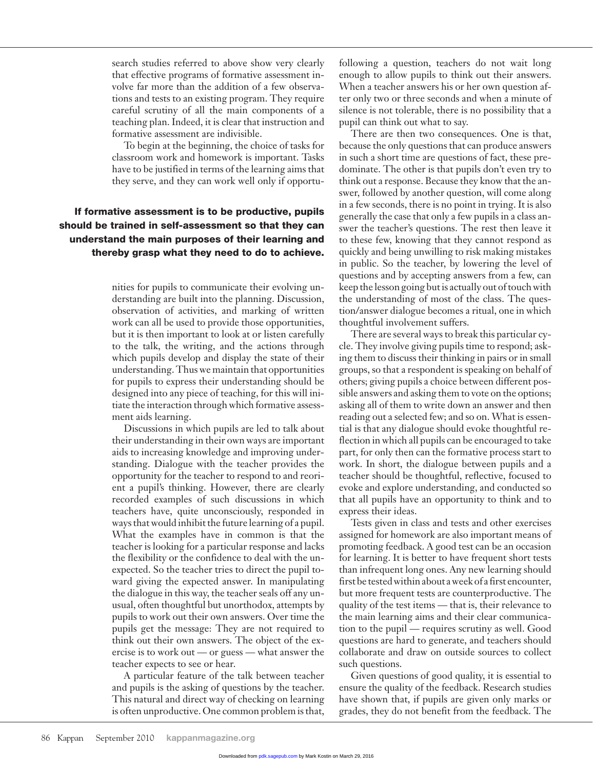search studies referred to above show very clearly that effective programs of formative assessment involve far more than the addition of a few observations and tests to an existing program. They require careful scrutiny of all the main components of a teaching plan. Indeed, it is clear that instruction and formative assessment are indivisible.

To begin at the beginning, the choice of tasks for classroom work and homework is important. Tasks have to be justified in terms of the learning aims that they serve, and they can work well only if opportu-

# **If formative assessment is to be productive, pupils should be trained in self-assessment so that they can understand the main purposes of their learning and thereby grasp what they need to do to achieve.**

nities for pupils to communicate their evolving understanding are built into the planning. Discussion, observation of activities, and marking of written work can all be used to provide those opportunities, but it is then important to look at or listen carefully to the talk, the writing, and the actions through which pupils develop and display the state of their understanding. Thus we maintain that opportunities for pupils to express their understanding should be designed into any piece of teaching, for this will initiate the interaction through which formative assessment aids learning.

Discussions in which pupils are led to talk about their understanding in their own ways are important aids to increasing knowledge and improving understanding. Dialogue with the teacher provides the opportunity for the teacher to respond to and reorient a pupil's thinking. However, there are clearly recorded examples of such discussions in which teachers have, quite unconsciously, responded in ways that would inhibit the future learning of a pupil. What the examples have in common is that the teacher is looking for a particular response and lacks the flexibility or the confidence to deal with the unexpected. So the teacher tries to direct the pupil toward giving the expected answer. In manipulating the dialogue in this way, the teacher seals off any unusual, often thoughtful but unorthodox, attempts by pupils to work out their own answers. Over time the pupils get the message: They are not required to think out their own answers. The object of the exercise is to work out — or guess — what answer the teacher expects to see or hear.

A particular feature of the talk between teacher and pupils is the asking of questions by the teacher. This natural and direct way of checking on learning is often unproductive. One common problem is that,

following a question, teachers do not wait long enough to allow pupils to think out their answers. When a teacher answers his or her own question after only two or three seconds and when a minute of silence is not tolerable, there is no possibility that a pupil can think out what to say.

There are then two consequences. One is that, because the only questions that can produce answers in such a short time are questions of fact, these predominate. The other is that pupils don't even try to think out a response. Because they know that the answer, followed by another question, will come along in a few seconds, there is no point in trying. It is also generally the case that only a few pupils in a class answer the teacher's questions. The rest then leave it to these few, knowing that they cannot respond as quickly and being unwilling to risk making mistakes in public. So the teacher, by lowering the level of questions and by accepting answers from a few, can keep the lesson going but is actually out of touch with the understanding of most of the class. The question/answer dialogue becomes a ritual, one in which thoughtful involvement suffers.

There are several ways to break this particular cycle. They involve giving pupils time to respond; asking them to discuss their thinking in pairs or in small groups, so that a respondent is speaking on behalf of others; giving pupils a choice between different possible answers and asking them to vote on the options; asking all of them to write down an answer and then reading out a selected few; and so on. What is essential is that any dialogue should evoke thoughtful reflection in which all pupils can be encouraged to take part, for only then can the formative process start to work. In short, the dialogue between pupils and a teacher should be thoughtful, reflective, focused to evoke and explore understanding, and conducted so that all pupils have an opportunity to think and to express their ideas.

Tests given in class and tests and other exercises assigned for homework are also important means of promoting feedback. A good test can be an occasion for learning. It is better to have frequent short tests than infrequent long ones. Any new learning should first be tested within about a week of a first encounter, but more frequent tests are counterproductive. The quality of the test items — that is, their relevance to the main learning aims and their clear communication to the pupil — requires scrutiny as well. Good questions are hard to generate, and teachers should collaborate and draw on outside sources to collect such questions.

Given questions of good quality, it is essential to ensure the quality of the feedback. Research studies have shown that, if pupils are given only marks or grades, they do not benefit from the feedback. The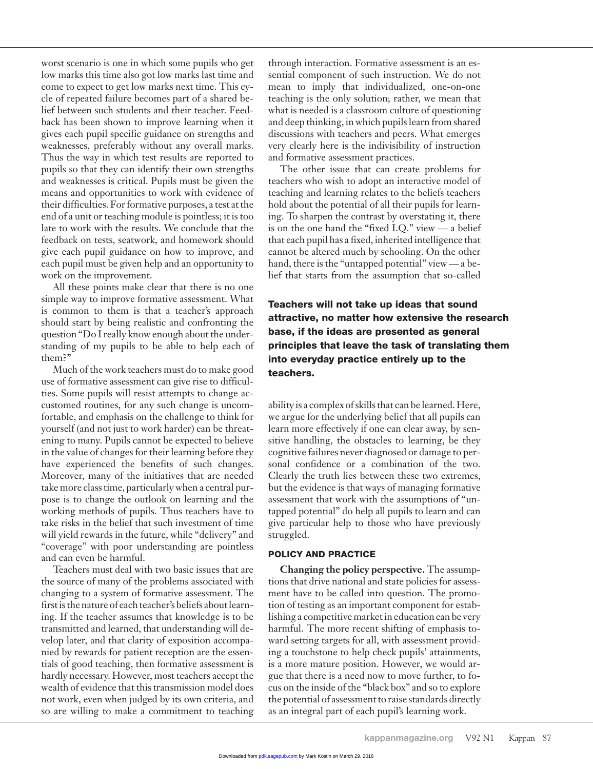worst scenario is one in which some pupils who get low marks this time also got low marks last time and come to expect to get low marks next time. This cycle of repeated failure becomes part of a shared belief between such students and their teacher. Feedback has been shown to improve learning when it gives each pupil specific guidance on strengths and weaknesses, preferably without any overall marks. Thus the way in which test results are reported to pupils so that they can identify their own strengths and weaknesses is critical. Pupils must be given the means and opportunities to work with evidence of their difficulties. For formative purposes, a test at the end of a unit or teaching module is pointless; it is too late to work with the results. We conclude that the feedback on tests, seatwork, and homework should give each pupil guidance on how to improve, and each pupil must be given help and an opportunity to work on the improvement.

All these points make clear that there is no one simple way to improve formative assessment. What is common to them is that a teacher's approach should start by being realistic and confronting the question "Do I really know enough about the understanding of my pupils to be able to help each of them?"

Much of the work teachers must do to make good use of formative assessment can give rise to difficulties. Some pupils will resist attempts to change accustomed routines, for any such change is uncomfortable, and emphasis on the challenge to think for yourself (and not just to work harder) can be threatening to many. Pupils cannot be expected to believe in the value of changes for their learning before they have experienced the benefits of such changes. Moreover, many of the initiatives that are needed take more class time, particularly when a central purpose is to change the outlook on learning and the working methods of pupils. Thus teachers have to take risks in the belief that such investment of time will yield rewards in the future, while "delivery" and "coverage" with poor understanding are pointless and can even be harmful.

Teachers must deal with two basic issues that are the source of many of the problems associated with changing to a system of formative assessment. The first is the nature of each teacher's beliefs about learning. If the teacher assumes that knowledge is to be transmitted and learned, that understanding will develop later, and that clarity of exposition accompanied by rewards for patient reception are the essentials of good teaching, then formative assessment is hardly necessary. However, most teachers accept the wealth of evidence that this transmission model does not work, even when judged by its own criteria, and so are willing to make a commitment to teaching

through interaction. Formative assessment is an essential component of such instruction. We do not mean to imply that individualized, one-on-one teaching is the only solution; rather, we mean that what is needed is a classroom culture of questioning and deep thinking, in which pupils learn from shared discussions with teachers and peers. What emerges very clearly here is the indivisibility of instruction and formative assessment practices.

The other issue that can create problems for teachers who wish to adopt an interactive model of teaching and learning relates to the beliefs teachers hold about the potential of all their pupils for learning. To sharpen the contrast by overstating it, there is on the one hand the "fixed I.Q." view — a belief that each pupil has a fixed, inherited intelligence that cannot be altered much by schooling. On the other hand, there is the "untapped potential" view — a belief that starts from the assumption that so-called

**Teachers will not take up ideas that sound attractive, no matter how extensive the research base, if the ideas are presented as general principles that leave the task of translating them into everyday practice entirely up to the teachers.**

ability is a complex of skills that can be learned. Here, we argue for the underlying belief that all pupils can learn more effectively if one can clear away, by sensitive handling, the obstacles to learning, be they cognitive failures never diagnosed or damage to personal confidence or a combination of the two. Clearly the truth lies between these two extremes, but the evidence is that ways of managing formative assessment that work with the assumptions of "untapped potential" do help all pupils to learn and can give particular help to those who have previously struggled.

#### **POLICY AND PRACTICE**

**Changing the policy perspective.** The assumptions that drive national and state policies for assessment have to be called into question. The promotion of testing as an important component for establishing a competitive market in education can be very harmful. The more recent shifting of emphasis toward setting targets for all, with assessment providing a touchstone to help check pupils' attainments, is a more mature position. However, we would argue that there is a need now to move further, to focus on the inside of the "black box" and so to explore the potential of assessment to raise standards directly as an integral part of each pupil's learning work.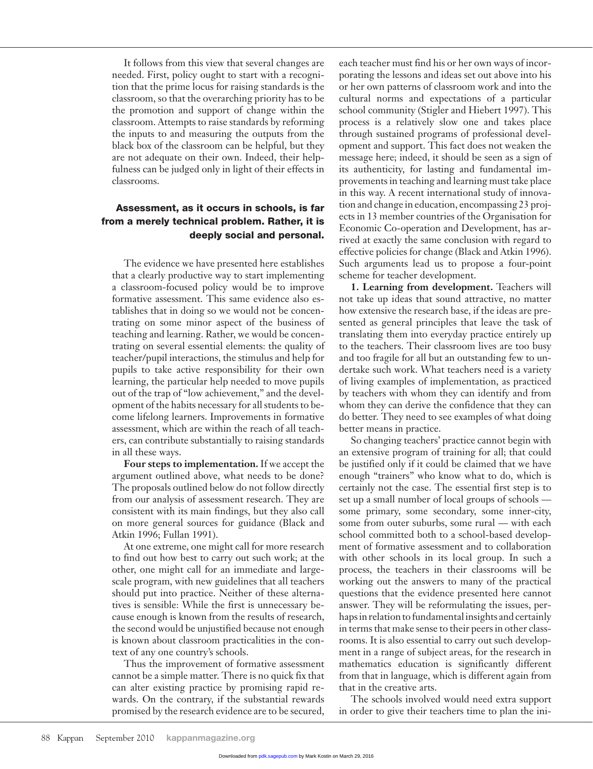It follows from this view that several changes are needed. First, policy ought to start with a recognition that the prime locus for raising standards is the classroom, so that the overarching priority has to be the promotion and support of change within the classroom. Attempts to raise standards by reforming the inputs to and measuring the outputs from the black box of the classroom can be helpful, but they are not adequate on their own. Indeed, their helpfulness can be judged only in light of their effects in classrooms.

# **Assessment, as it occurs in schools, is far from a merely technical problem. Rather, it is deeply social and personal.**

The evidence we have presented here establishes that a clearly productive way to start implementing a classroom-focused policy would be to improve formative assessment. This same evidence also establishes that in doing so we would not be concentrating on some minor aspect of the business of teaching and learning. Rather, we would be concentrating on several essential elements: the quality of teacher/pupil interactions, the stimulus and help for pupils to take active responsibility for their own learning, the particular help needed to move pupils out of the trap of "low achievement," and the development of the habits necessary for all students to become lifelong learners. Improvements in formative assessment, which are within the reach of all teachers, can contribute substantially to raising standards in all these ways.

**Four steps to implementation.** If we accept the argument outlined above, what needs to be done? The proposals outlined below do not follow directly from our analysis of assessment research. They are consistent with its main findings, but they also call on more general sources for guidance (Black and Atkin 1996; Fullan 1991).

At one extreme, one might call for more research to find out how best to carry out such work; at the other, one might call for an immediate and largescale program, with new guidelines that all teachers should put into practice. Neither of these alternatives is sensible: While the first is unnecessary because enough is known from the results of research, the second would be unjustified because not enough is known about classroom practicalities in the context of any one country's schools.

Thus the improvement of formative assessment cannot be a simple matter. There is no quick fix that can alter existing practice by promising rapid rewards. On the contrary, if the substantial rewards promised by the research evidence are to be secured,

each teacher must find his or her own ways of incorporating the lessons and ideas set out above into his or her own patterns of classroom work and into the cultural norms and expectations of a particular school community (Stigler and Hiebert 1997). This process is a relatively slow one and takes place through sustained programs of professional development and support. This fact does not weaken the message here; indeed, it should be seen as a sign of its authenticity, for lasting and fundamental improvements in teaching and learning must take place in this way. A recent international study of innovation and change in education, encompassing 23 projects in 13 member countries of the Organisation for Economic Co-operation and Development, has arrived at exactly the same conclusion with regard to effective policies for change (Black and Atkin 1996). Such arguments lead us to propose a four-point scheme for teacher development.

**1. Learning from development.** Teachers will not take up ideas that sound attractive, no matter how extensive the research base, if the ideas are presented as general principles that leave the task of translating them into everyday practice entirely up to the teachers. Their classroom lives are too busy and too fragile for all but an outstanding few to undertake such work. What teachers need is a variety of living examples of implementation, as practiced by teachers with whom they can identify and from whom they can derive the confidence that they can do better. They need to see examples of what doing better means in practice.

So changing teachers' practice cannot begin with an extensive program of training for all; that could be justified only if it could be claimed that we have enough "trainers" who know what to do, which is certainly not the case. The essential first step is to set up a small number of local groups of schools some primary, some secondary, some inner-city, some from outer suburbs, some rural — with each school committed both to a school-based development of formative assessment and to collaboration with other schools in its local group. In such a process, the teachers in their classrooms will be working out the answers to many of the practical questions that the evidence presented here cannot answer. They will be reformulating the issues, perhaps in relation to fundamental insights and certainly in terms that make sense to their peers in other classrooms. It is also essential to carry out such development in a range of subject areas, for the research in mathematics education is significantly different from that in language, which is different again from that in the creative arts.

The schools involved would need extra support in order to give their teachers time to plan the ini-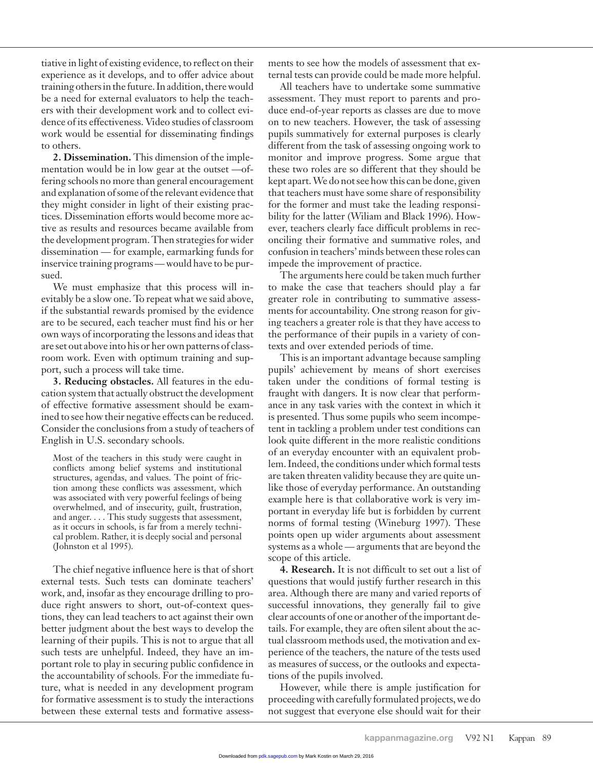tiative in light of existing evidence, to reflect on their experience as it develops, and to offer advice about training others in the future. In addition, there would be a need for external evaluators to help the teachers with their development work and to collect evidence of its effectiveness. Video studies of classroom work would be essential for disseminating findings to others.

**2. Dissemination.** This dimension of the implementation would be in low gear at the outset —offering schools no more than general encouragement and explanation of some of the relevant evidence that they might consider in light of their existing practices. Dissemination efforts would become more active as results and resources became available from the development program. Then strategies for wider dissemination — for example, earmarking funds for inservice training programs — would have to be pursued.

We must emphasize that this process will inevitably be a slow one. To repeat what we said above, if the substantial rewards promised by the evidence are to be secured, each teacher must find his or her own ways of incorporating the lessons and ideas that are set out above into his or her own patterns of classroom work. Even with optimum training and support, such a process will take time.

**3. Reducing obstacles.** All features in the education system that actually obstruct the development of effective formative assessment should be examined to see how their negative effects can be reduced. Consider the conclusions from a study of teachers of English in U.S. secondary schools.

Most of the teachers in this study were caught in conflicts among belief systems and institutional structures, agendas, and values. The point of friction among these conflicts was assessment, which was associated with very powerful feelings of being overwhelmed, and of insecurity, guilt, frustration, and anger. . . . This study suggests that assessment, as it occurs in schools, is far from a merely technical problem. Rather, it is deeply social and personal (Johnston et al 1995).

The chief negative influence here is that of short external tests. Such tests can dominate teachers' work, and, insofar as they encourage drilling to produce right answers to short, out-of-context questions, they can lead teachers to act against their own better judgment about the best ways to develop the learning of their pupils. This is not to argue that all such tests are unhelpful. Indeed, they have an important role to play in securing public confidence in the accountability of schools. For the immediate future, what is needed in any development program for formative assessment is to study the interactions between these external tests and formative assessments to see how the models of assessment that external tests can provide could be made more helpful.

All teachers have to undertake some summative assessment. They must report to parents and produce end-of-year reports as classes are due to move on to new teachers. However, the task of assessing pupils summatively for external purposes is clearly different from the task of assessing ongoing work to monitor and improve progress. Some argue that these two roles are so different that they should be kept apart. We do not see how this can be done, given that teachers must have some share of responsibility for the former and must take the leading responsibility for the latter (Wiliam and Black 1996). However, teachers clearly face difficult problems in reconciling their formative and summative roles, and confusion in teachers' minds between these roles can impede the improvement of practice.

The arguments here could be taken much further to make the case that teachers should play a far greater role in contributing to summative assessments for accountability. One strong reason for giving teachers a greater role is that they have access to the performance of their pupils in a variety of contexts and over extended periods of time.

This is an important advantage because sampling pupils' achievement by means of short exercises taken under the conditions of formal testing is fraught with dangers. It is now clear that performance in any task varies with the context in which it is presented. Thus some pupils who seem incompetent in tackling a problem under test conditions can look quite different in the more realistic conditions of an everyday encounter with an equivalent problem. Indeed, the conditions under which formal tests are taken threaten validity because they are quite unlike those of everyday performance. An outstanding example here is that collaborative work is very important in everyday life but is forbidden by current norms of formal testing (Wineburg 1997). These points open up wider arguments about assessment systems as a whole — arguments that are beyond the scope of this article.

**4. Research.** It is not difficult to set out a list of questions that would justify further research in this area. Although there are many and varied reports of successful innovations, they generally fail to give clear accounts of one or another of the important details. For example, they are often silent about the actual classroom methods used, the motivation and experience of the teachers, the nature of the tests used as measures of success, or the outlooks and expectations of the pupils involved.

However, while there is ample justification for proceeding with carefully formulated projects, we do not suggest that everyone else should wait for their